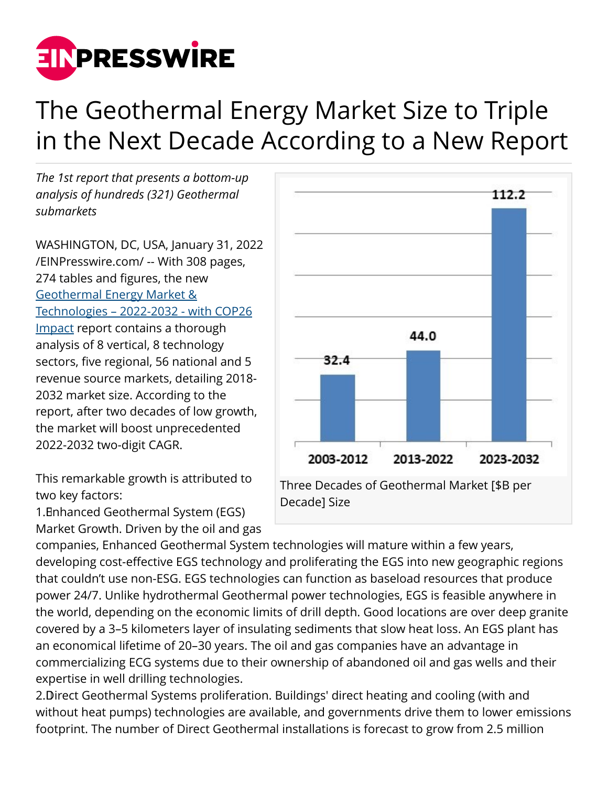

## The Geothermal Energy Market Size to Triple in the Next Decade According to a New Report

*The 1st report that presents a bottom-up analysis of hundreds (321) Geothermal submarkets*

WASHINGTON, DC, USA, January 31, 2022 [/EINPresswire.com/](http://www.einpresswire.com) -- With 308 pages, 274 tables and figures, the new [Geothermal Energy Market &](https://homelandsecurityresearch.com/reports/geothermal_energy_market_tech_st/) [Technologies – 2022-2032 - with COP26](https://homelandsecurityresearch.com/reports/geothermal_energy_market_tech_st/) [Impact](https://homelandsecurityresearch.com/reports/geothermal_energy_market_tech_st/) report contains a thorough analysis of 8 vertical, 8 technology sectors, five regional, 56 national and 5 revenue source markets, detailing 2018- 2032 market size. According to the report, after two decades of low growth, the market will boost unprecedented 2022-2032 two-digit CAGR.

This remarkable growth is attributed to two key factors:

1. Enhanced Geothermal System (EGS) Market Growth. Driven by the oil and gas



companies, Enhanced Geothermal System technologies will mature within a few years, developing cost-effective EGS technology and proliferating the EGS into new geographic regions that couldn't use non-ESG. EGS technologies can function as baseload resources that produce power 24/7. Unlike hydrothermal Geothermal power technologies, EGS is feasible anywhere in the world, depending on the economic limits of drill depth. Good locations are over deep granite covered by a 3–5 kilometers layer of insulating sediments that slow heat loss. An EGS plant has an economical lifetime of 20–30 years. The oil and gas companies have an advantage in commercializing ECG systems due to their ownership of abandoned oil and gas wells and their expertise in well drilling technologies.

2. Direct Geothermal Systems proliferation. Buildings' direct heating and cooling (with and without heat pumps) technologies are available, and governments drive them to lower emissions footprint. The number of Direct Geothermal installations is forecast to grow from 2.5 million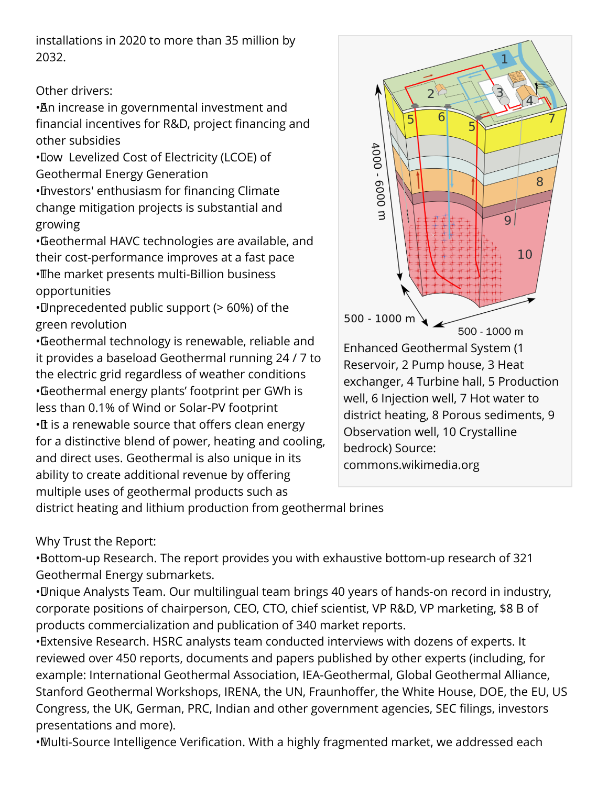installations in 2020 to more than 35 million by 2032.

## Other drivers:

• An increase in governmental investment and financial incentives for R&D, project financing and other subsidies

• Low Levelized Cost of Electricity (LCOE) of Geothermal Energy Generation

• Investors' enthusiasm for financing Climate change mitigation projects is substantial and growing

• Geothermal HAVC technologies are available, and their cost-performance improves at a fast pace • The market presents multi-Billion business opportunities

• Unprecedented public support (> 60%) of the green revolution

• Geothermal technology is renewable, reliable and it provides a baseload Geothermal running 24 / 7 to the electric grid regardless of weather conditions • Geothermal energy plants' footprint per GWh is less than 0.1% of Wind or Solar-PV footprint •It is a renewable source that offers clean energy for a distinctive blend of power, heating and cooling, and direct uses. Geothermal is also unique in its ability to create additional revenue by offering multiple uses of geothermal products such as



commons.wikimedia.org

district heating and lithium production from geothermal brines

Why Trust the Report:

• Bottom-up Research. The report provides you with exhaustive bottom-up research of 321 Geothermal Energy submarkets.

• Unique Analysts Team. Our multilingual team brings 40 years of hands-on record in industry, corporate positions of chairperson, CEO, CTO, chief scientist, VP R&D, VP marketing, \$8 B of products commercialization and publication of 340 market reports.

• Extensive Research. HSRC analysts team conducted interviews with dozens of experts. It reviewed over 450 reports, documents and papers published by other experts (including, for example: International Geothermal Association, IEA-Geothermal, Global Geothermal Alliance, Stanford Geothermal Workshops, IRENA, the UN, Fraunhoffer, the White House, DOE, the EU, US Congress, the UK, German, PRC, Indian and other government agencies, SEC filings, investors presentations and more).

• Multi-Source Intelligence Verification. With a highly fragmented market, we addressed each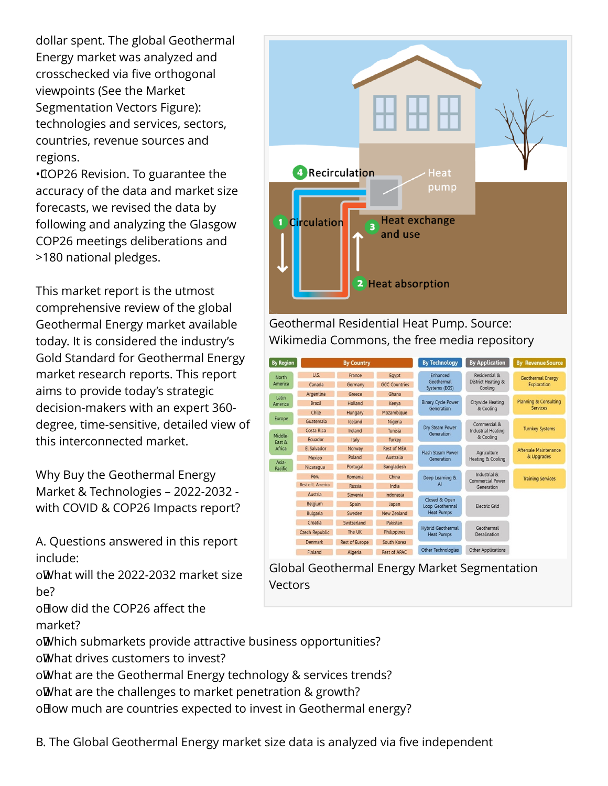dollar spent. The global Geothermal Energy market was analyzed and crosschecked via five orthogonal viewpoints (See the Market Segmentation Vectors Figure): technologies and services, sectors, countries, revenue sources and regions.

• COP26 Revision. To guarantee the accuracy of the data and market size forecasts, we revised the data by following and analyzing the Glasgow COP26 meetings deliberations and >180 national pledges.

This market report is the utmost comprehensive review of the global Geothermal Energy market available today. It is considered the industry's Gold Standard for Geothermal Energy market research reports. This report aims to provide today's strategic decision-makers with an expert 360 degree, time-sensitive, detailed view of this interconnected market.

Why Buy the Geothermal Energy Market & Technologies – 2022-2032 with COVID & COP26 Impacts report?

A. Questions answered in this report include:

o What will the 2022-2032 market size be?

o How did the COP26 affect the

market?

oWhich submarkets provide attractive business opportunities? oWhat drives customers to invest?

o What are the Geothermal Energy technology & services trends?

o What are the challenges to market penetration & growth?

o How much are countries expected to invest in Geothermal energy?



Geothermal Residential Heat Pump. Source: Wikimedia Commons, the free media repository

| <b>By Region</b>            |                           | <b>By Country</b>     |                      | <b>By Technology</b>                                  | <b>By Application</b>                                  | <b>Revenue Source</b><br><b>Bv</b>                  |
|-----------------------------|---------------------------|-----------------------|----------------------|-------------------------------------------------------|--------------------------------------------------------|-----------------------------------------------------|
| <b>North</b><br>America     | U.S.                      | France                | Eqypt                | Enhanced<br>Geothermal<br>Systems (EGS)               | Residential &<br>District Heating &<br>Cooling         | Geothermal Energy<br>Exploration                    |
|                             | Canada                    | Germany               | <b>GCC Countries</b> |                                                       |                                                        |                                                     |
| Latin<br>America            | Argentina                 | Greece                | Ghana                | <b>Binary Cycle Power</b><br>Generation               | Citywide Heating<br>& Cooling                          | <b>Planning &amp; Consulting</b><br><b>Services</b> |
|                             | <b>Brazil</b>             | Holland               | Kenya                |                                                       |                                                        |                                                     |
|                             | Chile                     | Hungary               | Mozambique           |                                                       |                                                        |                                                     |
| Europe                      | Guatemala                 | Iceland               | Nigeria              | Dry Steam Power<br>Generation                         | Commercial &<br><b>Industrial Heating</b><br>& Cooling | <b>Turnkey Systems</b>                              |
| Middle-<br>East &<br>Africa | Costa Rica                | Ireland               | Tunisia              |                                                       |                                                        |                                                     |
|                             | Ecuador                   | Italy                 | Turkey               |                                                       |                                                        |                                                     |
|                             | <b>El Salvador</b>        | Norway                | <b>Rest of MEA</b>   | <b>Flash Steam Power</b><br>Generation                | Agriculture<br>Heating & Cooling                       | Aftersale Maintenance<br>& Upgrades                 |
| Asia-<br>Pacific            | Mexico                    | Poland                | <b>Australia</b>     |                                                       |                                                        |                                                     |
|                             | Nicaragua                 | Portugal              | Bangladesh           |                                                       |                                                        |                                                     |
|                             | Peru                      | Romania               | China                | Deep Learning &<br>Al                                 | Industrial &<br><b>Commercial Power</b><br>Generation  | <b>Training Services</b>                            |
|                             | <b>Rest of L. America</b> | <b>Russia</b>         | India                |                                                       |                                                        |                                                     |
|                             | Austria                   | Slovenia              | Indonesia            | Closed & Open<br>Loop Geothermal<br><b>Heat Pumps</b> | <b>Flectric Grid</b>                                   |                                                     |
|                             | <b>Belaium</b>            | Spain                 | Japan                |                                                       |                                                        |                                                     |
|                             | <b>Bulgaria</b>           | Sweden                | New Zealand          |                                                       |                                                        |                                                     |
|                             | Croatia                   | Switzerland           | Pakistan             | <b>Hybrid Geothermal</b><br><b>Heat Pumps</b>         | Geothermal<br>Desalination                             |                                                     |
|                             | <b>Czech Republic</b>     | The UK                | <b>Philippines</b>   |                                                       |                                                        |                                                     |
|                             | Denmark                   | <b>Rest of Europe</b> | South Korea          |                                                       |                                                        |                                                     |
|                             | Finland                   | Algeria               | <b>Rest of APAC</b>  | <b>Other Technologies</b>                             | <b>Other Applications</b>                              |                                                     |

Global Geothermal Energy Market Segmentation **Vectors** 

B. The Global Geothermal Energy market size data is analyzed via five independent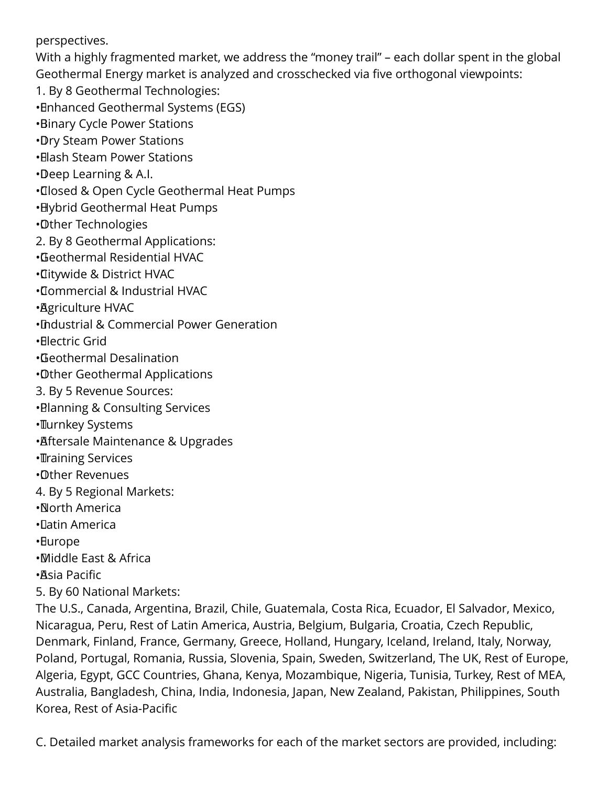perspectives.

With a highly fragmented market, we address the "money trail" – each dollar spent in the global Geothermal Energy market is analyzed and crosschecked via five orthogonal viewpoints:

1. By 8 Geothermal Technologies:

• Enhanced Geothermal Systems (EGS)

• Binary Cycle Power Stations

• Dry Steam Power Stations

• Elash Steam Power Stations

• Deep Learning & A.I.

• Closed & Open Cycle Geothermal Heat Pumps

• Hybrid Geothermal Heat Pumps

• Other Technologies

2. By 8 Geothermal Applications:

• Geothermal Residential HVAC

• Citywide & District HVAC

• Commercial & Industrial HVAC

• Agriculture HVAC

• Industrial & Commercial Power Generation

• Electric Grid

• Geothermal Desalination

• Other Geothermal Applications

3. By 5 Revenue Sources:

• Blanning & Consulting Services

• Turnkey Systems

• Aftersale Maintenance & Upgrades

**·**Training Services

• Other Revenues

4. By 5 Regional Markets:

• North America

• Latin America

• Europe

• Middle East & Africa

• Asia Pacific

5. By 60 National Markets:

The U.S., Canada, Argentina, Brazil, Chile, Guatemala, Costa Rica, Ecuador, El Salvador, Mexico, Nicaragua, Peru, Rest of Latin America, Austria, Belgium, Bulgaria, Croatia, Czech Republic, Denmark, Finland, France, Germany, Greece, Holland, Hungary, Iceland, Ireland, Italy, Norway, Poland, Portugal, Romania, Russia, Slovenia, Spain, Sweden, Switzerland, The UK, Rest of Europe, Algeria, Egypt, GCC Countries, Ghana, Kenya, Mozambique, Nigeria, Tunisia, Turkey, Rest of MEA, Australia, Bangladesh, China, India, Indonesia, Japan, New Zealand, Pakistan, Philippines, South Korea, Rest of Asia-Pacific

C. Detailed market analysis frameworks for each of the market sectors are provided, including: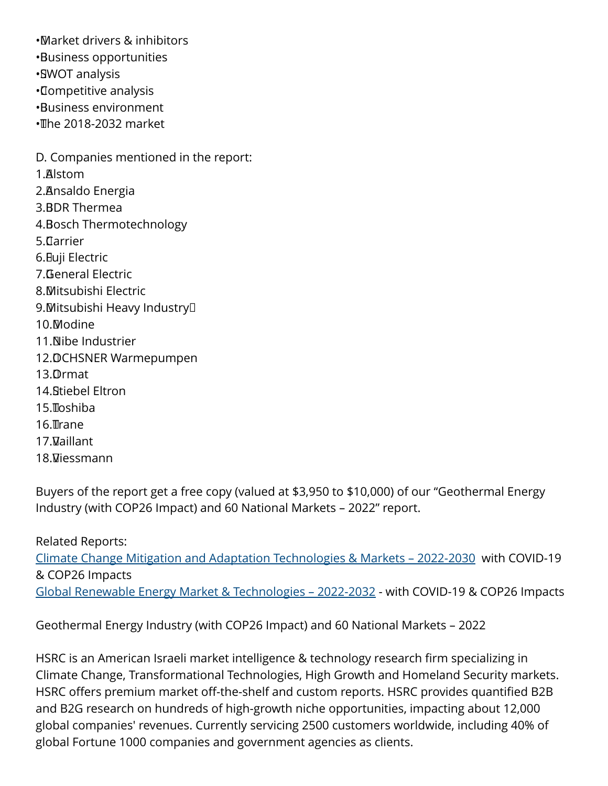• Market drivers & inhibitors • Business opportunities •**SWOT analysis** • Competitive analysis • Business environment  $\cdot$  The 2018-2032 market D. Companies mentioned in the report: 1. Alstom 2. Ansaldo Energia 3. BDR Thermea 4. Bosch Thermotechnology 5. Clarrier 6. Fuji Electric 7. General Electric 8. Mitsubishi Electric 9. Mitsubishi Heavy Industry<sup>[]</sup> 10. Modine 11. Nibe Industrier 12. DCHSNER Warmepumpen 13. Ormat 14. Stiebel Eltron  $15.$  $\Pi$ oshiba 16. Trane 17. Vaillant 18. Viessmann

Buyers of the report get a free copy (valued at \$3,950 to \$10,000) of our "Geothermal Energy Industry (with COP26 Impact) and 60 National Markets – 2022" report.

Related Reports: [Climate Change Mitigation and Adaptation Technologies & Markets – 2022-2030](https://homelandsecurityresearch.com/reports/global-warming-mitigation-lt/) with COVID-19 & COP26 Impacts [Global Renewable Energy Market & Technologies – 2022-2032](https://homelandsecurityresearch.com/reports/renewable-energy-market-tech/) - with COVID-19 & COP26 Impacts

Geothermal Energy Industry (with COP26 Impact) and 60 National Markets – 2022

HSRC is an American Israeli market intelligence & technology research firm specializing in Climate Change, Transformational Technologies, High Growth and Homeland Security markets. HSRC offers premium market off-the-shelf and custom reports. HSRC provides quantified B2B and B2G research on hundreds of high-growth niche opportunities, impacting about 12,000 global companies' revenues. Currently servicing 2500 customers worldwide, including 40% of global Fortune 1000 companies and government agencies as clients.